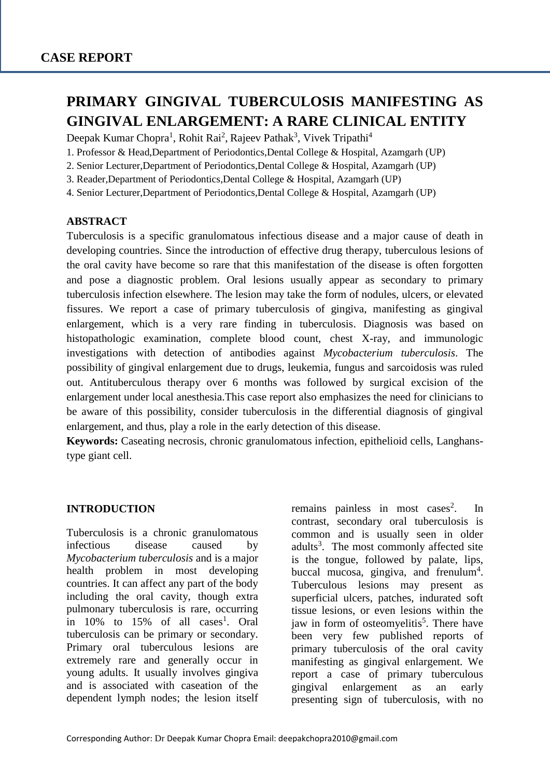# **PRIMARY GINGIVAL TUBERCULOSIS MANIFESTING AS GINGIVAL ENLARGEMENT: A RARE CLINICAL ENTITY**

Deepak Kumar Chopra<sup>1</sup>, Rohit Rai<sup>2</sup>, Rajeev Pathak<sup>3</sup>, Vivek Tripathi<sup>4</sup>

- 1. Professor & Head,Department of Periodontics,Dental College & Hospital, Azamgarh (UP)
- 2. Senior Lecturer,Department of Periodontics,Dental College & Hospital, Azamgarh (UP)
- 3. Reader,Department of Periodontics,Dental College & Hospital, Azamgarh (UP)
- 4. Senior Lecturer,Department of Periodontics,Dental College & Hospital, Azamgarh (UP)

## **ABSTRACT**

Tuberculosis is a specific granulomatous infectious disease and a major cause of death in developing countries. Since the introduction of effective drug therapy, tuberculous lesions of the oral cavity have become so rare that this manifestation of the disease is often forgotten and pose a diagnostic problem. Oral lesions usually appear as secondary to primary tuberculosis infection elsewhere. The lesion may take the form of nodules, ulcers, or elevated fissures. We report a case of primary tuberculosis of gingiva, manifesting as gingival enlargement, which is a very rare finding in tuberculosis. Diagnosis was based on histopathologic examination, complete blood count, chest X-ray, and immunologic investigations with detection of antibodies against *Mycobacterium tuberculosis*. The possibility of gingival enlargement due to drugs, leukemia, fungus and sarcoidosis was ruled out. Antituberculous therapy over 6 months was followed by surgical excision of the enlargement under local anesthesia.This case report also emphasizes the need for clinicians to be aware of this possibility, consider tuberculosis in the differential diagnosis of gingival enlargement, and thus, play a role in the early detection of this disease.

**Keywords:** Caseating necrosis, chronic granulomatous infection, epithelioid cells, Langhanstype giant cell.

## **INTRODUCTION**

Tuberculosis is a chronic granulomatous infectious disease caused by *Mycobacterium tuberculosis* and is a major health problem in most developing countries. It can affect any part of the body including the oral cavity, though extra pulmonary tuberculosis is rare, occurring in  $10\%$  to  $15\%$  of all cases<sup>1</sup>. Oral tuberculosis can be primary or secondary. Primary oral tuberculous lesions are extremely rare and generally occur in young adults. It usually involves gingiva and is associated with caseation of the dependent lymph nodes; the lesion itself remains painless in most cases<sup>2</sup>. . In contrast, secondary oral tuberculosis is common and is usually seen in older adults<sup>3</sup>. The most commonly affected site is the tongue, followed by palate, lips, buccal mucosa, gingiva, and frenulum<sup>4</sup>. Tuberculous lesions may present as superficial ulcers, patches, indurated soft tissue lesions, or even lesions within the jaw in form of osteomyelitis<sup>5</sup>. There have been very few published reports of primary tuberculosis of the oral cavity manifesting as gingival enlargement. We report a case of primary tuberculous gingival enlargement as an early presenting sign of tuberculosis, with no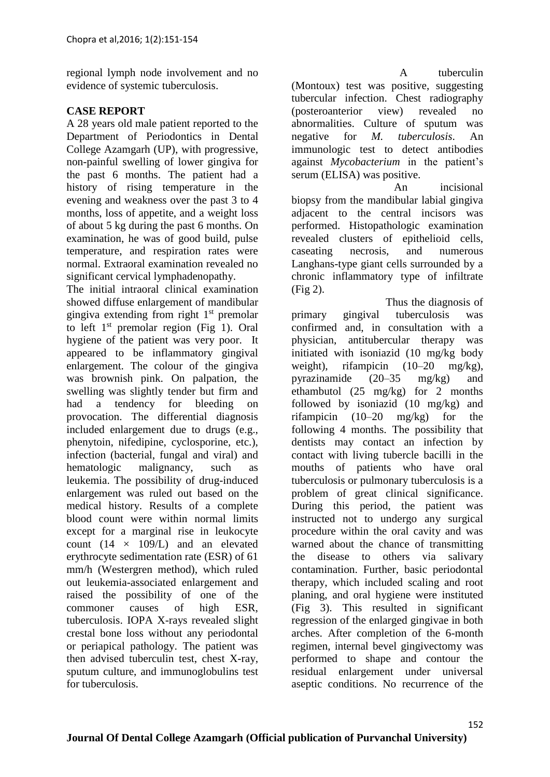regional lymph node involvement and no evidence of systemic tuberculosis.

## **CASE REPORT**

A 28 years old male patient reported to the Department of Periodontics in Dental College Azamgarh (UP), with progressive, non-painful swelling of lower gingiva for the past 6 months. The patient had a history of rising temperature in the evening and weakness over the past 3 to 4 months, loss of appetite, and a weight loss of about 5 kg during the past 6 months. On examination, he was of good build, pulse temperature, and respiration rates were normal. Extraoral examination revealed no significant cervical lymphadenopathy.

The initial intraoral clinical examination showed diffuse enlargement of mandibular gingiva extending from right  $1<sup>st</sup>$  premolar to left  $1<sup>st</sup>$  premolar region (Fig 1). Oral hygiene of the patient was very poor. It appeared to be inflammatory gingival enlargement. The colour of the gingiva was brownish pink. On palpation, the swelling was slightly tender but firm and had a tendency for bleeding on provocation. The differential diagnosis included enlargement due to drugs (e.g., phenytoin, nifedipine, cyclosporine, etc.), infection (bacterial, fungal and viral) and hematologic malignancy, such as leukemia. The possibility of drug-induced enlargement was ruled out based on the medical history. Results of a complete blood count were within normal limits except for a marginal rise in leukocyte count  $(14 \times 109/L)$  and an elevated erythrocyte sedimentation rate (ESR) of 61 mm/h (Westergren method), which ruled out leukemia-associated enlargement and raised the possibility of one of the commoner causes of high ESR, tuberculosis. IOPA X-rays revealed slight crestal bone loss without any periodontal or periapical pathology. The patient was then advised tuberculin test, chest X-ray, sputum culture, and immunoglobulins test for tuberculosis.

 A tuberculin (Montoux) test was positive, suggesting tubercular infection. Chest radiography (posteroanterior view) revealed no abnormalities. Culture of sputum was negative for *M. tuberculosis*. An immunologic test to detect antibodies against *Mycobacterium* in the patient's serum (ELISA) was positive.

 An incisional biopsy from the mandibular labial gingiva adjacent to the central incisors was performed. Histopathologic examination revealed clusters of epithelioid cells, caseating necrosis, and numerous Langhans-type giant cells surrounded by a chronic inflammatory type of infiltrate (Fig 2).

 Thus the diagnosis of primary gingival tuberculosis was confirmed and, in consultation with a physician, antitubercular therapy was initiated with isoniazid (10 mg/kg body weight), rifampicin (10–20 mg/kg), pyrazinamide (20–35 mg/kg) and ethambutol (25 mg/kg) for 2 months followed by isoniazid (10 mg/kg) and rifampicin (10–20 mg/kg) for the following 4 months. The possibility that dentists may contact an infection by contact with living tubercle bacilli in the mouths of patients who have oral tuberculosis or pulmonary tuberculosis is a problem of great clinical significance. During this period, the patient was instructed not to undergo any surgical procedure within the oral cavity and was warned about the chance of transmitting the disease to others via salivary contamination. Further, basic periodontal therapy, which included scaling and root planing, and oral hygiene were instituted (Fig 3). This resulted in significant regression of the enlarged gingivae in both arches. After completion of the 6-month regimen, internal bevel gingivectomy was performed to shape and contour the residual enlargement under universal aseptic conditions. No recurrence of the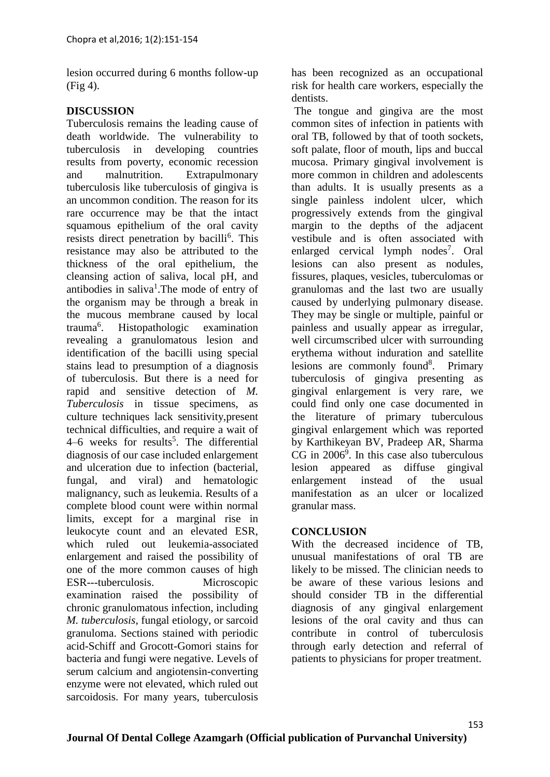lesion occurred during 6 months follow-up (Fig 4).

## **DISCUSSION**

Tuberculosis remains the leading cause of death worldwide. The vulnerability to tuberculosis in developing countries results from poverty, economic recession and malnutrition. Extrapulmonary tuberculosis like tuberculosis of gingiva is an uncommon condition. The reason for its rare occurrence may be that the intact squamous epithelium of the oral cavity resists direct penetration by bacilli<sup>6</sup>. This resistance may also be attributed to the thickness of the oral epithelium, the cleansing action of saliva, local pH, and antibodies in saliva<sup>1</sup>. The mode of entry of the organism may be through a break in the mucous membrane caused by local trauma $6$ . . Histopathologic examination revealing a granulomatous lesion and identification of the bacilli using special stains lead to presumption of a diagnosis of tuberculosis. But there is a need for rapid and sensitive detection of *M. Tuberculosis* in tissue specimens, as culture techniques lack sensitivity,present technical difficulties, and require a wait of 4–6 weeks for results<sup>5</sup>. The differential diagnosis of our case included enlargement and ulceration due to infection (bacterial, fungal, and viral) and hematologic malignancy, such as leukemia. Results of a complete blood count were within normal limits, except for a marginal rise in leukocyte count and an elevated ESR, which ruled out leukemia-associated enlargement and raised the possibility of one of the more common causes of high ESR---tuberculosis. Microscopic examination raised the possibility of chronic granulomatous infection, including *M. tuberculosis*, fungal etiology, or sarcoid granuloma. Sections stained with periodic acid-Schiff and Grocott-Gomori stains for bacteria and fungi were negative. Levels of serum calcium and angiotensin-converting enzyme were not elevated, which ruled out sarcoidosis. For many years, tuberculosis

has been recognized as an occupational risk for health care workers, especially the dentists.

The tongue and gingiva are the most common sites of infection in patients with oral TB, followed by that of tooth sockets, soft palate, floor of mouth, lips and buccal mucosa. Primary gingival involvement is more common in children and adolescents than adults. It is usually presents as a single painless indolent ulcer, which progressively extends from the gingival margin to the depths of the adjacent vestibule and is often associated with enlarged cervical lymph nodes<sup>7</sup>. Oral lesions can also present as nodules, fissures, plaques, vesicles, tuberculomas or granulomas and the last two are usually caused by underlying pulmonary disease. They may be single or multiple, painful or painless and usually appear as irregular, well circumscribed ulcer with surrounding erythema without induration and satellite lesions are commonly found<sup>8</sup>. Primary tuberculosis of gingiva presenting as gingival enlargement is very rare, we could find only one case documented in the literature of primary tuberculous gingival enlargement which was reported by Karthikeyan BV, Pradeep AR, Sharma  $CG$  in  $2006^9$ . In this case also tuberculous lesion appeared as diffuse gingival enlargement instead of the usual manifestation as an ulcer or localized granular mass.

## **CONCLUSION**

With the decreased incidence of TB, unusual manifestations of oral TB are likely to be missed. The clinician needs to be aware of these various lesions and should consider TB in the differential diagnosis of any gingival enlargement lesions of the oral cavity and thus can contribute in control of tuberculosis through early detection and referral of patients to physicians for proper treatment.